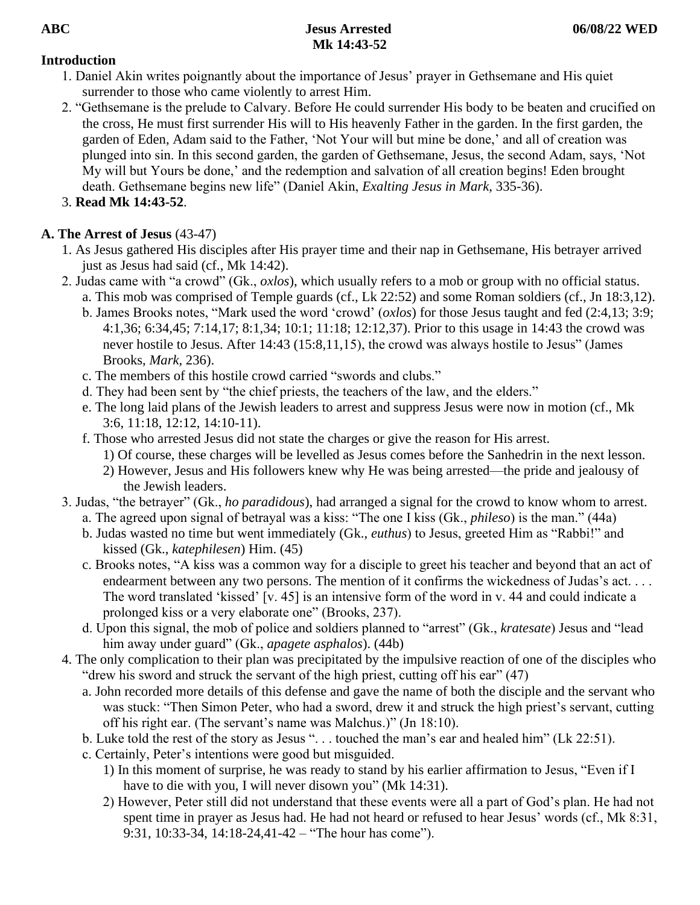## **Introduction**

- 1. Daniel Akin writes poignantly about the importance of Jesus' prayer in Gethsemane and His quiet surrender to those who came violently to arrest Him.
- 2. "Gethsemane is the prelude to Calvary. Before He could surrender His body to be beaten and crucified on the cross, He must first surrender His will to His heavenly Father in the garden. In the first garden, the garden of Eden, Adam said to the Father, 'Not Your will but mine be done,' and all of creation was plunged into sin. In this second garden, the garden of Gethsemane, Jesus, the second Adam, says, 'Not My will but Yours be done,' and the redemption and salvation of all creation begins! Eden brought death. Gethsemane begins new life" (Daniel Akin, *Exalting Jesus in Mark*, 335-36).
- 3. **Read Mk 14:43-52**.

# **A. The Arrest of Jesus** (43-47)

- 1. As Jesus gathered His disciples after His prayer time and their nap in Gethsemane, His betrayer arrived just as Jesus had said (cf., Mk 14:42).
- 2. Judas came with "a crowd" (Gk., *oxlos*), which usually refers to a mob or group with no official status. a. This mob was comprised of Temple guards (cf., Lk 22:52) and some Roman soldiers (cf., Jn 18:3,12).
	- b. James Brooks notes, "Mark used the word 'crowd' (*oxlos*) for those Jesus taught and fed (2:4,13; 3:9; 4:1,36; 6:34,45; 7:14,17; 8:1,34; 10:1; 11:18; 12:12,37). Prior to this usage in 14:43 the crowd was never hostile to Jesus. After 14:43 (15:8,11,15), the crowd was always hostile to Jesus" (James Brooks, *Mark*, 236).
	- c. The members of this hostile crowd carried "swords and clubs."
	- d. They had been sent by "the chief priests, the teachers of the law, and the elders."
	- e. The long laid plans of the Jewish leaders to arrest and suppress Jesus were now in motion (cf., Mk 3:6, 11:18, 12:12, 14:10-11).
	- f. Those who arrested Jesus did not state the charges or give the reason for His arrest.
		- 1) Of course, these charges will be levelled as Jesus comes before the Sanhedrin in the next lesson.
		- 2) However, Jesus and His followers knew why He was being arrested—the pride and jealousy of the Jewish leaders.
- 3. Judas, "the betrayer" (Gk., *ho paradidous*), had arranged a signal for the crowd to know whom to arrest. a. The agreed upon signal of betrayal was a kiss: "The one I kiss (Gk., *phileso*) is the man." (44a)
	- b. Judas wasted no time but went immediately (Gk., *euthus*) to Jesus, greeted Him as "Rabbi!" and kissed (Gk., *katephilesen*) Him. (45)
	- c. Brooks notes, "A kiss was a common way for a disciple to greet his teacher and beyond that an act of endearment between any two persons. The mention of it confirms the wickedness of Judas's act. . . . The word translated 'kissed' [v. 45] is an intensive form of the word in v. 44 and could indicate a prolonged kiss or a very elaborate one" (Brooks, 237).
	- d. Upon this signal, the mob of police and soldiers planned to "arrest" (Gk., *kratesate*) Jesus and "lead him away under guard" (Gk., *apagete asphalos*). (44b)
- 4. The only complication to their plan was precipitated by the impulsive reaction of one of the disciples who "drew his sword and struck the servant of the high priest, cutting off his ear" (47)
	- a. John recorded more details of this defense and gave the name of both the disciple and the servant who was stuck: "Then Simon Peter, who had a sword, drew it and struck the high priest's servant, cutting off his right ear. (The servant's name was Malchus.)" (Jn 18:10).
	- b. Luke told the rest of the story as Jesus ". . . touched the man's ear and healed him" (Lk 22:51).
	- c. Certainly, Peter's intentions were good but misguided.
		- 1) In this moment of surprise, he was ready to stand by his earlier affirmation to Jesus, "Even if I have to die with you, I will never disown you" (Mk 14:31).
		- 2) However, Peter still did not understand that these events were all a part of God's plan. He had not spent time in prayer as Jesus had. He had not heard or refused to hear Jesus' words (cf., Mk 8:31, 9:31, 10:33-34, 14:18-24,41-42 – "The hour has come").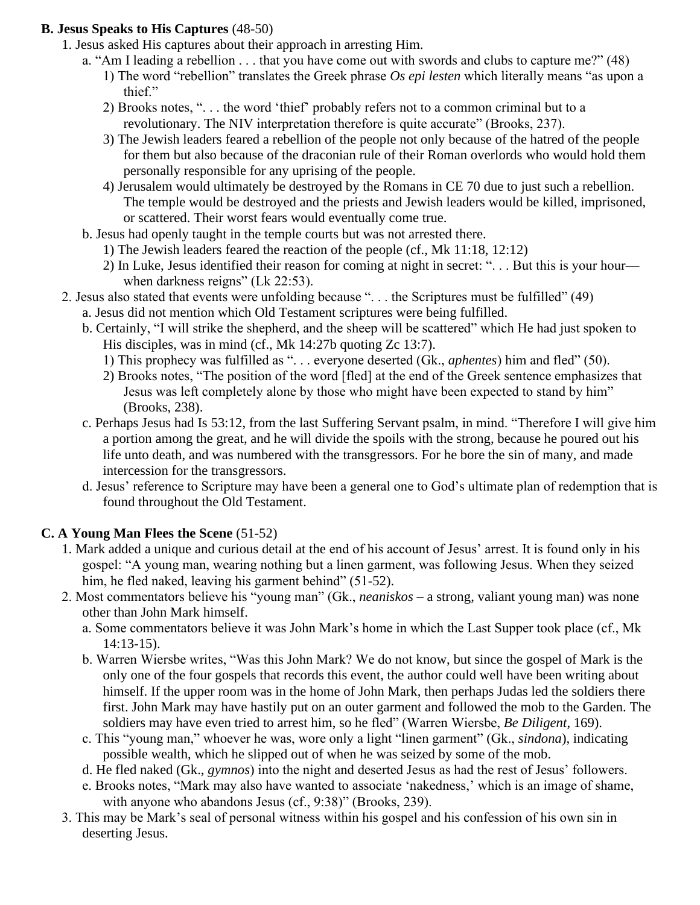### **B. Jesus Speaks to His Captures** (48-50)

- 1. Jesus asked His captures about their approach in arresting Him.
	- a. "Am I leading a rebellion . . . that you have come out with swords and clubs to capture me?" (48)
		- 1) The word "rebellion" translates the Greek phrase *Os epi lesten* which literally means "as upon a thief."
		- 2) Brooks notes, ". . . the word 'thief' probably refers not to a common criminal but to a revolutionary. The NIV interpretation therefore is quite accurate" (Brooks, 237).
		- 3) The Jewish leaders feared a rebellion of the people not only because of the hatred of the people for them but also because of the draconian rule of their Roman overlords who would hold them personally responsible for any uprising of the people.
		- 4) Jerusalem would ultimately be destroyed by the Romans in CE 70 due to just such a rebellion. The temple would be destroyed and the priests and Jewish leaders would be killed, imprisoned, or scattered. Their worst fears would eventually come true.
	- b. Jesus had openly taught in the temple courts but was not arrested there.
		- 1) The Jewish leaders feared the reaction of the people (cf., Mk 11:18, 12:12)
		- 2) In Luke, Jesus identified their reason for coming at night in secret: ". . . But this is your hour when darkness reigns" (Lk 22:53).
- 2. Jesus also stated that events were unfolding because ". . . the Scriptures must be fulfilled" (49) a. Jesus did not mention which Old Testament scriptures were being fulfilled.
	- b. Certainly, "I will strike the shepherd, and the sheep will be scattered" which He had just spoken to His disciples, was in mind (cf., Mk 14:27b quoting Zc 13:7).
		- 1) This prophecy was fulfilled as ". . . everyone deserted (Gk., *aphentes*) him and fled" (50).
		- 2) Brooks notes, "The position of the word [fled] at the end of the Greek sentence emphasizes that Jesus was left completely alone by those who might have been expected to stand by him" (Brooks, 238).
	- c. Perhaps Jesus had Is 53:12, from the last Suffering Servant psalm, in mind. "Therefore I will give him a portion among the great, and he will divide the spoils with the strong, because he poured out his life unto death, and was numbered with the transgressors. For he bore the sin of many, and made intercession for the transgressors.
	- d. Jesus' reference to Scripture may have been a general one to God's ultimate plan of redemption that is found throughout the Old Testament.

### **C. A Young Man Flees the Scene** (51-52)

- 1. Mark added a unique and curious detail at the end of his account of Jesus' arrest. It is found only in his gospel: "A young man, wearing nothing but a linen garment, was following Jesus. When they seized him, he fled naked, leaving his garment behind" (51-52).
- 2. Most commentators believe his "young man" (Gk., *neaniskos* a strong, valiant young man) was none other than John Mark himself.
	- a. Some commentators believe it was John Mark's home in which the Last Supper took place (cf., Mk 14:13-15).
	- b. Warren Wiersbe writes, "Was this John Mark? We do not know, but since the gospel of Mark is the only one of the four gospels that records this event, the author could well have been writing about himself. If the upper room was in the home of John Mark, then perhaps Judas led the soldiers there first. John Mark may have hastily put on an outer garment and followed the mob to the Garden. The soldiers may have even tried to arrest him, so he fled" (Warren Wiersbe, *Be Diligent*, 169).
	- c. This "young man," whoever he was, wore only a light "linen garment" (Gk., *sindona*), indicating possible wealth, which he slipped out of when he was seized by some of the mob.
	- d. He fled naked (Gk., *gymnos*) into the night and deserted Jesus as had the rest of Jesus' followers.
	- e. Brooks notes, "Mark may also have wanted to associate 'nakedness,' which is an image of shame, with anyone who abandons Jesus (cf., 9:38)" (Brooks, 239).
- 3. This may be Mark's seal of personal witness within his gospel and his confession of his own sin in deserting Jesus.